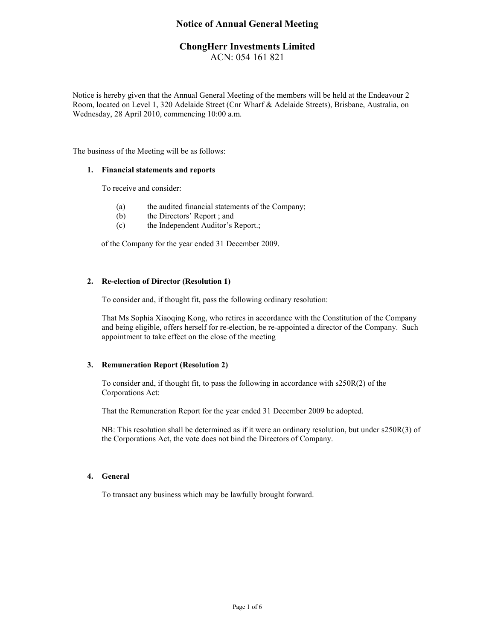# **Notice of Annual General Meeting**

# **ChongHerr Investments Limited**  ACN: 054 161 821

Notice is hereby given that the Annual General Meeting of the members will be held at the Endeavour 2 Room, located on Level 1, 320 Adelaide Street (Cnr Wharf & Adelaide Streets), Brisbane, Australia, on Wednesday, 28 April 2010, commencing 10:00 a.m.

The business of the Meeting will be as follows:

### **1. Financial statements and reports**

To receive and consider:

- (a) the audited financial statements of the Company;
- (b) the Directors' Report ; and
- (c) the Independent Auditor's Report.;

of the Company for the year ended 31 December 2009.

## **2. Re-election of Director (Resolution 1)**

To consider and, if thought fit, pass the following ordinary resolution:

That Ms Sophia Xiaoqing Kong, who retires in accordance with the Constitution of the Company and being eligible, offers herself for re-election, be re-appointed a director of the Company. Such appointment to take effect on the close of the meeting

## **3. Remuneration Report (Resolution 2)**

To consider and, if thought fit, to pass the following in accordance with s250R(2) of the Corporations Act:

That the Remuneration Report for the year ended 31 December 2009 be adopted.

NB: This resolution shall be determined as if it were an ordinary resolution, but under s250R(3) of the Corporations Act, the vote does not bind the Directors of Company.

## **4. General**

To transact any business which may be lawfully brought forward.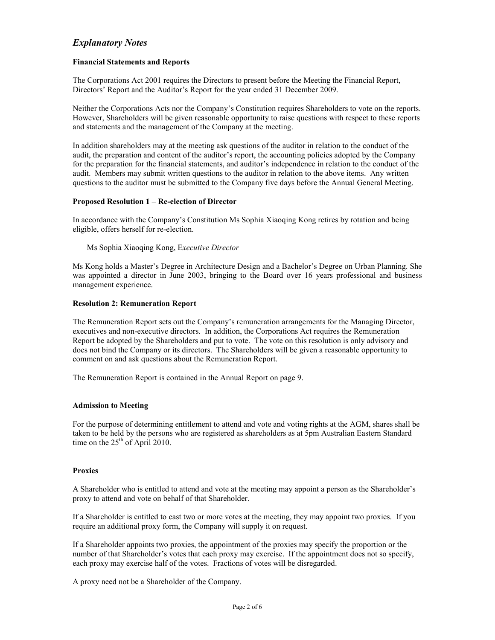# *Explanatory Notes*

## **Financial Statements and Reports**

The Corporations Act 2001 requires the Directors to present before the Meeting the Financial Report, Directors' Report and the Auditor's Report for the year ended 31 December 2009.

Neither the Corporations Acts nor the Company's Constitution requires Shareholders to vote on the reports. However, Shareholders will be given reasonable opportunity to raise questions with respect to these reports and statements and the management of the Company at the meeting.

In addition shareholders may at the meeting ask questions of the auditor in relation to the conduct of the audit, the preparation and content of the auditor's report, the accounting policies adopted by the Company for the preparation for the financial statements, and auditor's independence in relation to the conduct of the audit. Members may submit written questions to the auditor in relation to the above items. Any written questions to the auditor must be submitted to the Company five days before the Annual General Meeting.

## **Proposed Resolution 1 – Re-election of Director**

In accordance with the Company's Constitution Ms Sophia Xiaoqing Kong retires by rotation and being eligible, offers herself for re-election.

Ms Sophia Xiaoqing Kong, E*xecutive Director* 

Ms Kong holds a Master's Degree in Architecture Design and a Bachelor's Degree on Urban Planning. She was appointed a director in June 2003, bringing to the Board over 16 years professional and business management experience.

### **Resolution 2: Remuneration Report**

The Remuneration Report sets out the Company's remuneration arrangements for the Managing Director, executives and non-executive directors. In addition, the Corporations Act requires the Remuneration Report be adopted by the Shareholders and put to vote. The vote on this resolution is only advisory and does not bind the Company or its directors. The Shareholders will be given a reasonable opportunity to comment on and ask questions about the Remuneration Report.

The Remuneration Report is contained in the Annual Report on page 9.

### **Admission to Meeting**

For the purpose of determining entitlement to attend and vote and voting rights at the AGM, shares shall be taken to be held by the persons who are registered as shareholders as at 5pm Australian Eastern Standard time on the  $25<sup>th</sup>$  of April 2010.

### **Proxies**

A Shareholder who is entitled to attend and vote at the meeting may appoint a person as the Shareholder's proxy to attend and vote on behalf of that Shareholder.

If a Shareholder is entitled to cast two or more votes at the meeting, they may appoint two proxies. If you require an additional proxy form, the Company will supply it on request.

If a Shareholder appoints two proxies, the appointment of the proxies may specify the proportion or the number of that Shareholder's votes that each proxy may exercise. If the appointment does not so specify, each proxy may exercise half of the votes. Fractions of votes will be disregarded.

A proxy need not be a Shareholder of the Company.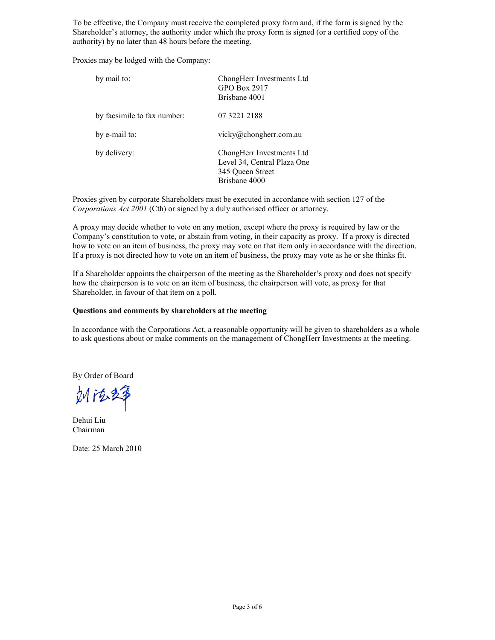To be effective, the Company must receive the completed proxy form and, if the form is signed by the Shareholder's attorney, the authority under which the proxy form is signed (or a certified copy of the authority) by no later than 48 hours before the meeting.

Proxies may be lodged with the Company:

| by mail to:                 | ChongHerr Investments Ltd<br>GPO Box 2917<br>Brisbane 4001                                    |
|-----------------------------|-----------------------------------------------------------------------------------------------|
| by facsimile to fax number: | 07 3221 2188                                                                                  |
| by e-mail to:               | vicky@chongherr.com.au                                                                        |
| by delivery:                | ChongHerr Investments Ltd<br>Level 34, Central Plaza One<br>345 Queen Street<br>Brisbane 4000 |

Proxies given by corporate Shareholders must be executed in accordance with section 127 of the *Corporations Act 2001* (Cth) or signed by a duly authorised officer or attorney.

A proxy may decide whether to vote on any motion, except where the proxy is required by law or the Company's constitution to vote, or abstain from voting, in their capacity as proxy. If a proxy is directed how to vote on an item of business, the proxy may vote on that item only in accordance with the direction. If a proxy is not directed how to vote on an item of business, the proxy may vote as he or she thinks fit.

If a Shareholder appoints the chairperson of the meeting as the Shareholder's proxy and does not specify how the chairperson is to vote on an item of business, the chairperson will vote, as proxy for that Shareholder, in favour of that item on a poll.

## **Questions and comments by shareholders at the meeting**

In accordance with the Corporations Act, a reasonable opportunity will be given to shareholders as a whole to ask questions about or make comments on the management of ChongHerr Investments at the meeting.

By Order of Board

Mit&2\$

Dehui Liu Chairman

Date: 25 March 2010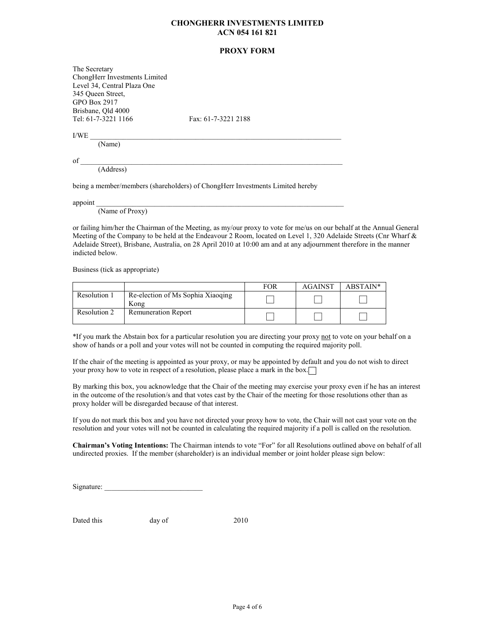### **CHONGHERR INVESTMENTS LIMITED ACN 054 161 821**

### **PROXY FORM**

The Secretary ChongHerr Investments Limited Level 34, Central Plaza One 345 Queen Street, GPO Box 2917 Brisbane, Qld 4000<br>Tel: 61-7-3221 1166

Fax: 61-7-3221 2188

 $\text{I/WE}$   $\blacksquare$ 

(Name)

 $\text{of }$ (Address)

being a member/members (shareholders) of ChongHerr Investments Limited hereby

appoint  $\blacksquare$ 

(Name of Proxy)

or failing him/her the Chairman of the Meeting, as my/our proxy to vote for me/us on our behalf at the Annual General Meeting of the Company to be held at the Endeavour 2 Room, located on Level 1, 320 Adelaide Streets (Cnr Wharf & Adelaide Street), Brisbane, Australia, on 28 April 2010 at 10:00 am and at any adjournment therefore in the manner indicted below.

Business (tick as appropriate)

|              |                                           | <b>FOR</b> | <b>AGAINST</b> | ABSTAIN* |
|--------------|-------------------------------------------|------------|----------------|----------|
| Resolution 1 | Re-election of Ms Sophia Xiaoging<br>Kong |            |                |          |
| Resolution 2 | <b>Remuneration Report</b>                |            |                |          |

\*If you mark the Abstain box for a particular resolution you are directing your proxy not to vote on your behalf on a show of hands or a poll and your votes will not be counted in computing the required majority poll.

If the chair of the meeting is appointed as your proxy, or may be appointed by default and you do not wish to direct your proxy how to vote in respect of a resolution, please place a mark in the box.

By marking this box, you acknowledge that the Chair of the meeting may exercise your proxy even if he has an interest in the outcome of the resolution/s and that votes cast by the Chair of the meeting for those resolutions other than as proxy holder will be disregarded because of that interest.

If you do not mark this box and you have not directed your proxy how to vote, the Chair will not cast your vote on the resolution and your votes will not be counted in calculating the required majority if a poll is called on the resolution.

**Chairman's Voting Intentions:** The Chairman intends to vote "For" for all Resolutions outlined above on behalf of all undirected proxies. If the member (shareholder) is an individual member or joint holder please sign below:

Signature:

Dated this day of 2010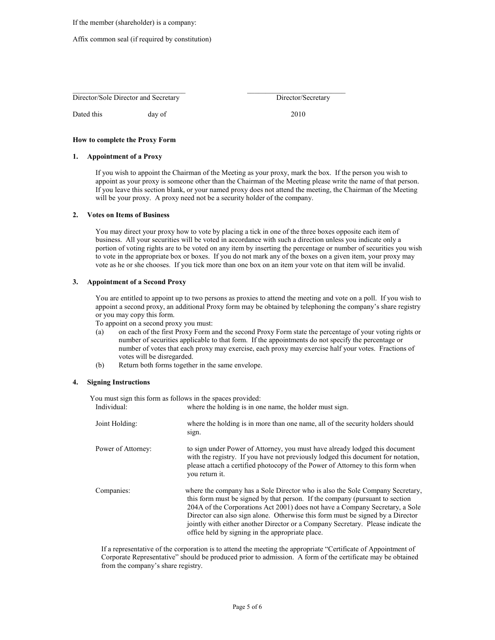If the member (shareholder) is a company:

#### Affix common seal (if required by constitution)

|  |  | Director/Sole Director and Secretary |
|--|--|--------------------------------------|
|  |  |                                      |

Dated this day of 2010

Director/Secretary

**How to complete the Proxy Form** 

#### **1. Appointment of a Proxy**

If you wish to appoint the Chairman of the Meeting as your proxy, mark the box. If the person you wish to appoint as your proxy is someone other than the Chairman of the Meeting please write the name of that person. If you leave this section blank, or your named proxy does not attend the meeting, the Chairman of the Meeting will be your proxy. A proxy need not be a security holder of the company.

#### **2. Votes on Items of Business**

You may direct your proxy how to vote by placing a tick in one of the three boxes opposite each item of business. All your securities will be voted in accordance with such a direction unless you indicate only a portion of voting rights are to be voted on any item by inserting the percentage or number of securities you wish to vote in the appropriate box or boxes. If you do not mark any of the boxes on a given item, your proxy may vote as he or she chooses. If you tick more than one box on an item your vote on that item will be invalid.

#### **3. Appointment of a Second Proxy**

You are entitled to appoint up to two persons as proxies to attend the meeting and vote on a poll. If you wish to appoint a second proxy, an additional Proxy form may be obtained by telephoning the company's share registry or you may copy this form.

To appoint on a second proxy you must:

- (a) on each of the first Proxy Form and the second Proxy Form state the percentage of your voting rights or number of securities applicable to that form. If the appointments do not specify the percentage or number of votes that each proxy may exercise, each proxy may exercise half your votes. Fractions of votes will be disregarded.
- (b) Return both forms together in the same envelope.

#### **4. Signing Instructions**

You must sign this form as follows in the spaces provided:

| Individual:        | where the holding is in one name, the holder must sign.                                                                                                                                                                                                                                                                                                                                                                                                                 |
|--------------------|-------------------------------------------------------------------------------------------------------------------------------------------------------------------------------------------------------------------------------------------------------------------------------------------------------------------------------------------------------------------------------------------------------------------------------------------------------------------------|
| Joint Holding:     | where the holding is in more than one name, all of the security holders should<br>sign.                                                                                                                                                                                                                                                                                                                                                                                 |
| Power of Attorney: | to sign under Power of Attorney, you must have already lodged this document<br>with the registry. If you have not previously lodged this document for notation,<br>please attach a certified photocopy of the Power of Attorney to this form when<br>vou return it.                                                                                                                                                                                                     |
| Companies:         | where the company has a Sole Director who is also the Sole Company Secretary,<br>this form must be signed by that person. If the company (pursuant to section<br>204A of the Corporations Act 2001) does not have a Company Secretary, a Sole<br>Director can also sign alone. Otherwise this form must be signed by a Director<br>jointly with either another Director or a Company Secretary. Please indicate the<br>office held by signing in the appropriate place. |

If a representative of the corporation is to attend the meeting the appropriate "Certificate of Appointment of Corporate Representative" should be produced prior to admission. A form of the certificate may be obtained from the company's share registry.